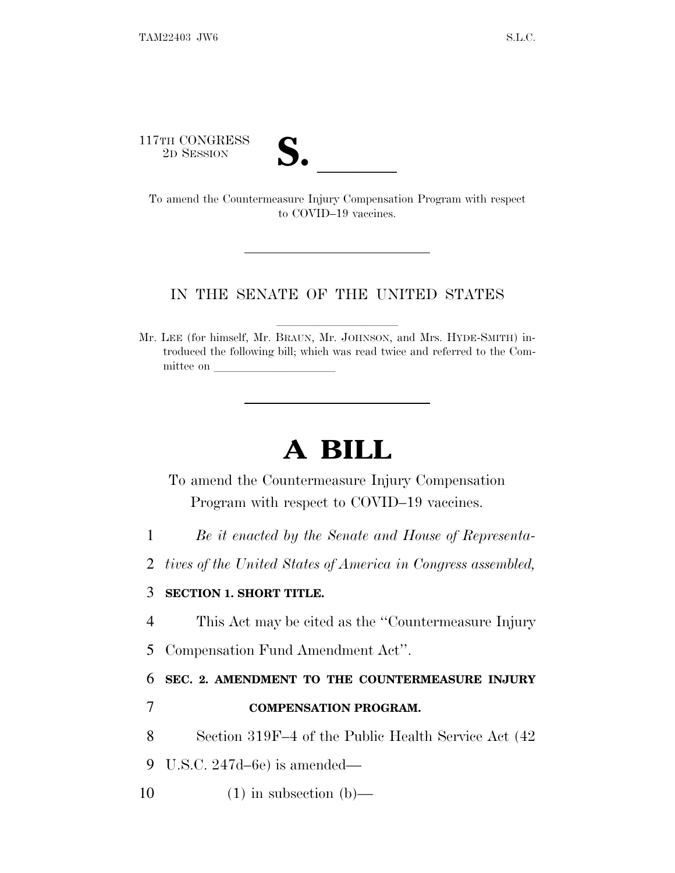117TH CONGRESS



THE CONGRESS<br>
2D SESSION<br>
To amend the Countermeasure Injury Compensation Program with respect to COVID–19 vaccines.

## IN THE SENATE OF THE UNITED STATES

Mr. LEE (for himself, Mr. BRAUN, Mr. JOHNSON, and Mrs. HYDE-SMITH) introduced the following bill; which was read twice and referred to the Committee on

## **A BILL**

To amend the Countermeasure Injury Compensation Program with respect to COVID–19 vaccines.

- 1 *Be it enacted by the Senate and House of Representa-*
- 2 *tives of the United States of America in Congress assembled,*

## 3 **SECTION 1. SHORT TITLE.**

- 4 This Act may be cited as the ''Countermeasure Injury
- 5 Compensation Fund Amendment Act''.

6 **SEC. 2. AMENDMENT TO THE COUNTERMEASURE INJURY**

7 **COMPENSATION PROGRAM.**

8 Section 319F–4 of the Public Health Service Act (42

9 U.S.C. 247d–6e) is amended—

10  $(1)$  in subsection (b)—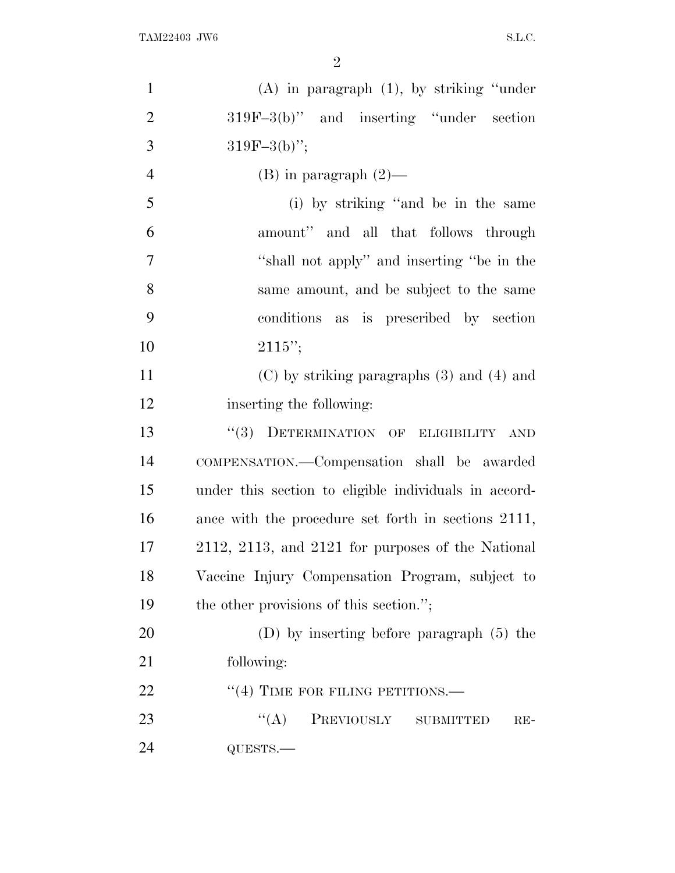| $\mathbf{1}$   | $(A)$ in paragraph $(1)$ , by striking "under"        |
|----------------|-------------------------------------------------------|
| $\overline{2}$ | $319F-3(b)$ " and inserting "under section"           |
| 3              | $319F-3(b)$ ";                                        |
| $\overline{4}$ | $(B)$ in paragraph $(2)$ —                            |
| 5              | (i) by striking "and be in the same                   |
| 6              | amount" and all that follows through                  |
| $\overline{7}$ | "shall not apply" and inserting "be in the            |
| 8              | same amount, and be subject to the same               |
| 9              | conditions as is prescribed by section                |
| 10             | $2115"$ ;                                             |
| 11             | $(C)$ by striking paragraphs $(3)$ and $(4)$ and      |
| 12             | inserting the following:                              |
| 13             | "(3) DETERMINATION OF ELIGIBILITY<br><b>AND</b>       |
| 14             | COMPENSATION.—Compensation shall be awarded           |
| 15             | under this section to eligible individuals in accord- |
| 16             | ance with the procedure set forth in sections 2111,   |
| 17             | 2112, 2113, and 2121 for purposes of the National     |
| 18             | Vaccine Injury Compensation Program, subject to       |
| 19             | the other provisions of this section.";               |
| 20             | (D) by inserting before paragraph $(5)$ the           |
| 21             | following:                                            |
| 22             | $``(4)$ TIME FOR FILING PETITIONS.—                   |
| 23             | ``(A)<br>PREVIOUSLY SUBMITTED<br>$RE-$                |
| 24             | QUESTS.-                                              |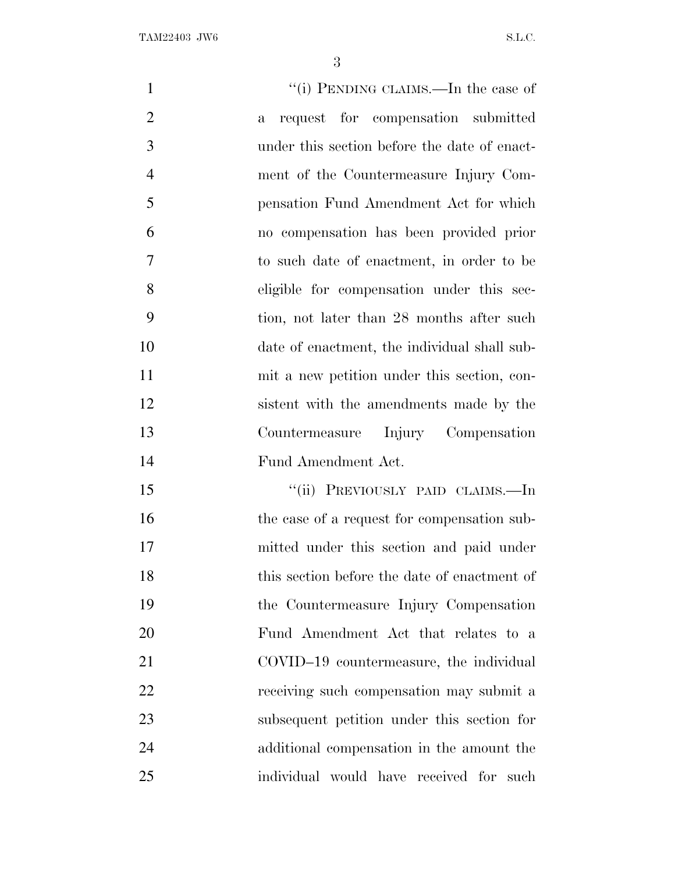| "(i) PENDING CLAIMS.—In the case of<br>$\mathbf{1}$                  |  |
|----------------------------------------------------------------------|--|
| $\overline{2}$<br>request for compensation submitted<br>$\mathbf{a}$ |  |
| 3<br>under this section before the date of enact-                    |  |
| $\overline{4}$<br>ment of the Countermeasure Injury Com-             |  |
| 5<br>pensation Fund Amendment Act for which                          |  |
| 6<br>no compensation has been provided prior                         |  |
| 7<br>to such date of enactment, in order to be                       |  |
| 8<br>eligible for compensation under this sec-                       |  |
| 9<br>tion, not later than 28 months after such                       |  |
| 10<br>date of enactment, the individual shall sub-                   |  |
| 11<br>mit a new petition under this section, con-                    |  |
| 12<br>sistent with the amendments made by the                        |  |
| 13<br>Countermeasure Injury Compensation                             |  |
| 14<br>Fund Amendment Act.                                            |  |
| "(ii) PREVIOUSLY PAID CLAIMS.—In<br>15                               |  |
| 16<br>the case of a request for compensation sub-                    |  |
| 17<br>mitted under this section and paid under                       |  |
| this section before the date of enactment of<br>18                   |  |
| 19<br>the Countermeasure Injury Compensation                         |  |
| 20<br>Fund Amendment Act that relates to a                           |  |
| 21<br>COVID-19 countermeasure, the individual                        |  |
| 22<br>receiving such compensation may submit a                       |  |
| 23<br>subsequent petition under this section for                     |  |
| 24<br>additional compensation in the amount the                      |  |
| 25<br>individual would have received for such                        |  |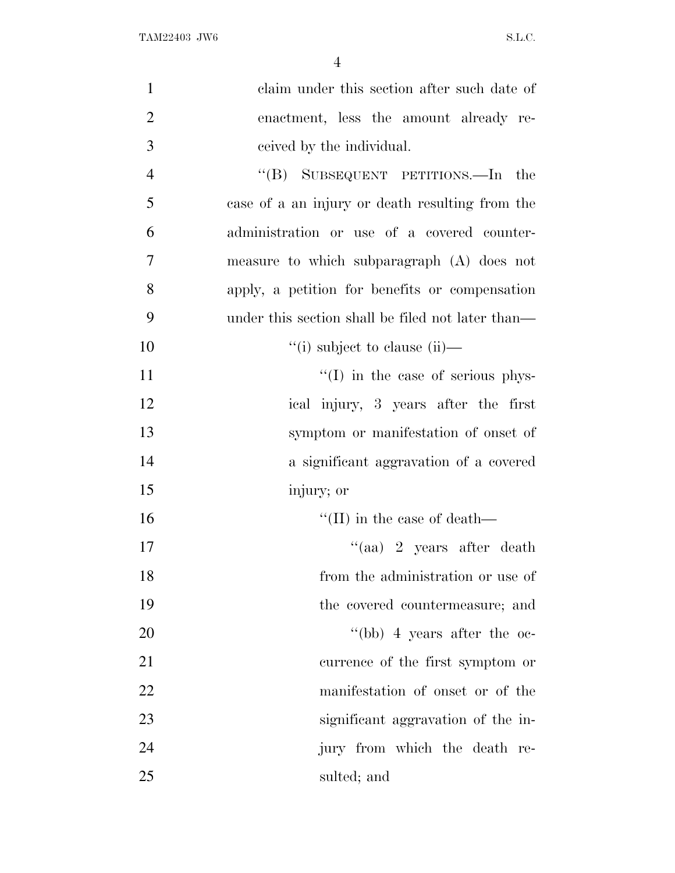| $\mathbf{1}$   | claim under this section after such date of       |
|----------------|---------------------------------------------------|
| $\overline{2}$ | enactment, less the amount already re-            |
| 3              | ceived by the individual.                         |
| $\overline{4}$ | "(B) SUBSEQUENT PETITIONS.—In the                 |
| 5              | case of a an injury or death resulting from the   |
| 6              | administration or use of a covered counter-       |
| $\overline{7}$ | measure to which subparagraph (A) does not        |
| 8              | apply, a petition for benefits or compensation    |
| 9              | under this section shall be filed not later than— |
| 10             | "(i) subject to clause (ii)—                      |
| 11             | $\lq\lq$ (I) in the case of serious phys-         |
| 12             | ical injury, 3 years after the first              |
| 13             | symptom or manifestation of onset of              |
| 14             | a significant aggravation of a covered            |
| 15             | injury; or                                        |
| 16             | $\lq\lq$ (II) in the case of death—               |
| 17             | "(aa) 2 years after death                         |
| 18             | from the administration or use of                 |
| 19             | the covered countermeasure; and                   |
| 20             | "(bb) 4 years after the $oc$ -                    |
| 21             | currence of the first symptom or                  |
| 22             | manifestation of onset or of the                  |
| 23             | significant aggravation of the in-                |
| 24             | jury from which the death re-                     |
| 25             | sulted; and                                       |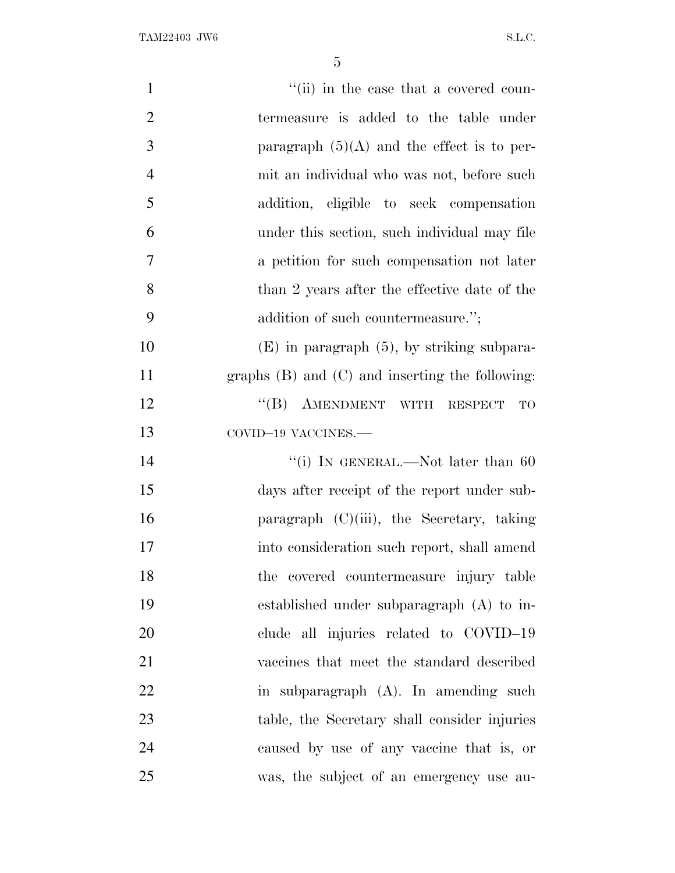| $\mathbf{1}$   | "(ii) in the case that a covered coun-          |
|----------------|-------------------------------------------------|
| $\overline{2}$ | termeasure is added to the table under          |
| 3              | paragraph $(5)(A)$ and the effect is to per-    |
| $\overline{4}$ | mit an individual who was not, before such      |
| 5              | addition, eligible to seek compensation         |
| 6              | under this section, such individual may file    |
| 7              | a petition for such compensation not later      |
| 8              | than 2 years after the effective date of the    |
| 9              | addition of such countermeasure.";              |
| 10             | $(E)$ in paragraph $(5)$ , by striking subpara- |
| 11             | graphs (B) and (C) and inserting the following: |
| 12             | "(B) AMENDMENT WITH RESPECT<br>TO               |
| 13             | COVID-19 VACCINES.-                             |
| 14             | "(i) IN GENERAL.—Not later than $60$            |
| 15             | days after receipt of the report under sub-     |
| 16             | paragraph $(C)(iii)$ , the Secretary, taking    |
| 17             | into consideration such report, shall amend     |
| 18             | the covered countermeasure injury table         |
| 19             | established under subparagraph $(A)$ to in-     |
| 20             | clude all injuries related to COVID-19          |
| 21             | vaccines that meet the standard described       |
| 22             | in subparagraph (A). In amending such           |
| 23             | table, the Secretary shall consider injuries    |
| 24             | caused by use of any vaccine that is, or        |
| 25             | was, the subject of an emergency use au-        |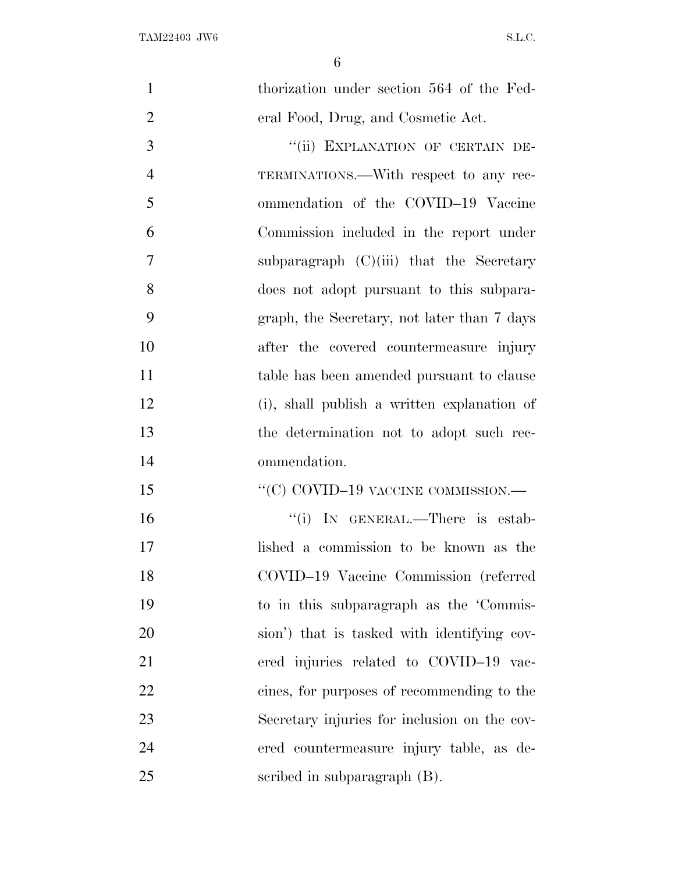| $\mathbf{1}$   | thorization under section 564 of the Fed-    |
|----------------|----------------------------------------------|
|                |                                              |
| $\overline{2}$ | eral Food, Drug, and Cosmetic Act.           |
| 3              | "(ii) EXPLANATION OF CERTAIN DE-             |
| $\overline{4}$ | TERMINATIONS.—With respect to any rec-       |
| 5              | ommendation of the COVID-19 Vaccine          |
| 6              | Commission included in the report under      |
| $\overline{7}$ | subparagraph $(C)(iii)$ that the Secretary   |
| 8              | does not adopt pursuant to this subpara-     |
| 9              | graph, the Secretary, not later than 7 days  |
| 10             | after the covered countermeasure injury      |
| 11             | table has been amended pursuant to clause    |
| 12             | (i), shall publish a written explanation of  |
| 13             | the determination not to adopt such rec-     |
| 14             | ommendation.                                 |
| 15             | "(C) COVID-19 VACCINE COMMISSION.—           |
| 16             | "(i) IN GENERAL.—There is estab-             |
| 17             | lished a commission to be known as the       |
| 18             | COVID-19 Vaccine Commission (referred        |
| 19             | to in this subparagraph as the 'Commis-      |
| 20             | sion') that is tasked with identifying cov-  |
| 21             | ered injuries related to COVID-19 vac-       |
| 22             | cines, for purposes of recommending to the   |
| 23             | Secretary injuries for inclusion on the cov- |
| 24             | ered countermeasure injury table, as de-     |
| 25             | scribed in subparagraph (B).                 |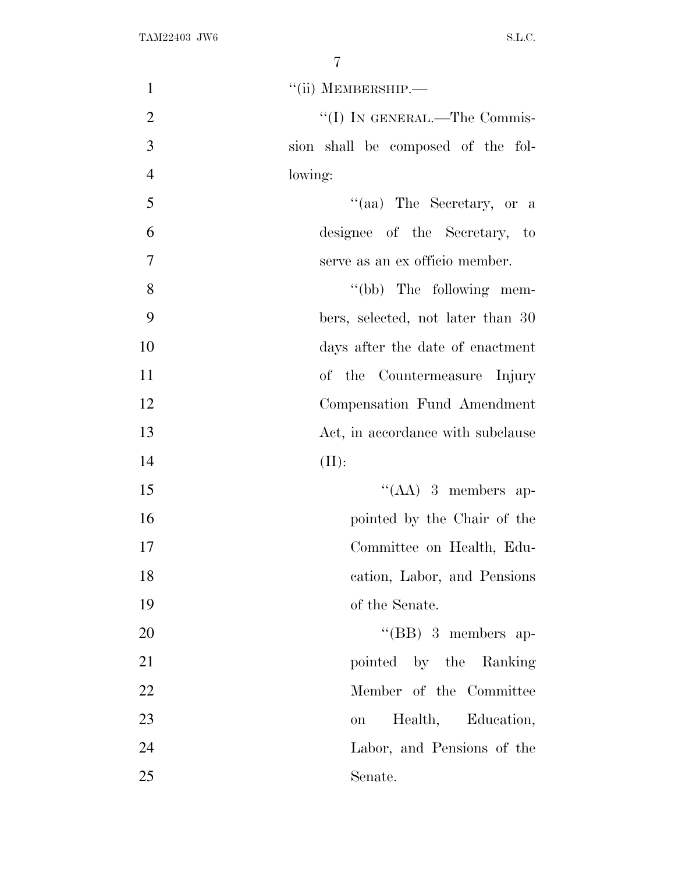| $\mathbf{1}$   | "(ii) MEMBERSHIP.-                 |
|----------------|------------------------------------|
| $\overline{2}$ | "(I) IN GENERAL.—The Commis-       |
| 3              | sion shall be composed of the fol- |
| $\overline{4}$ | lowing:                            |
| 5              | "(aa) The Secretary, or a          |
| 6              | designee of the Secretary, to      |
| 7              | serve as an ex officio member.     |
| 8              | "(bb) The following mem-           |
| 9              | bers, selected, not later than 30  |
| 10             | days after the date of enactment   |
| 11             | of the Countermeasure Injury       |
| 12             | Compensation Fund Amendment        |
| 13             | Act, in accordance with subclause  |
| 14             | (II):                              |
| 15             | $\lq\lq (AA)$ 3 members ap-        |
| 16             | pointed by the Chair of the        |
| 17             | Committee on Health, Edu-          |
| 18             | cation, Labor, and Pensions        |
| 19             | of the Senate.                     |
| 20             | $\lq\lq$ (BB) 3 members ap-        |
| 21             | pointed by the Ranking             |
| 22             | Member of the Committee            |
| 23             | Health, Education,<br>on           |
| 24             | Labor, and Pensions of the         |
| 25             | Senate.                            |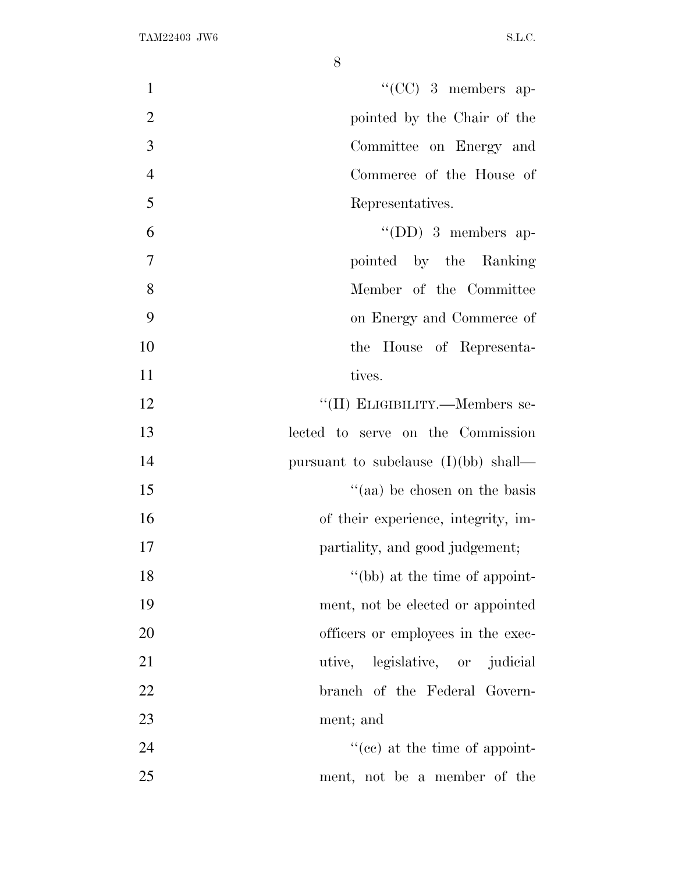| $``(CC)$ 3 members ap-<br>$\mathbf{1}$        |
|-----------------------------------------------|
| $\overline{2}$<br>pointed by the Chair of the |
| 3<br>Committee on Energy and                  |
| $\overline{4}$<br>Commerce of the House of    |
| 5<br>Representatives.                         |
| 6<br>$\lq\lq$ (DD) 3 members ap-              |
| 7<br>pointed by the Ranking                   |
| 8<br>Member of the Committee                  |
| 9<br>on Energy and Commerce of                |
| 10<br>the House of Representa-                |
| 11<br>tives.                                  |
| 12<br>"(II) ELIGIBILITY.—Members se-          |
| 13<br>lected to serve on the Commission       |
| 14<br>pursuant to subclause $(I)(bb)$ shall—  |
| "(aa) be chosen on the basis<br>15            |
| 16<br>of their experience, integrity, im-     |
| 17<br>partiality, and good judgement;         |
| "(bb) at the time of appoint-<br>18           |
| 19<br>ment, not be elected or appointed       |
| 20<br>officers or employees in the exec-      |
| 21<br>utive, legislative, or judicial         |
| 22<br>branch of the Federal Govern-           |
| 23<br>ment; and                               |
| 24<br>$f''(ce)$ at the time of appoint-       |
| 25<br>ment, not be a member of the            |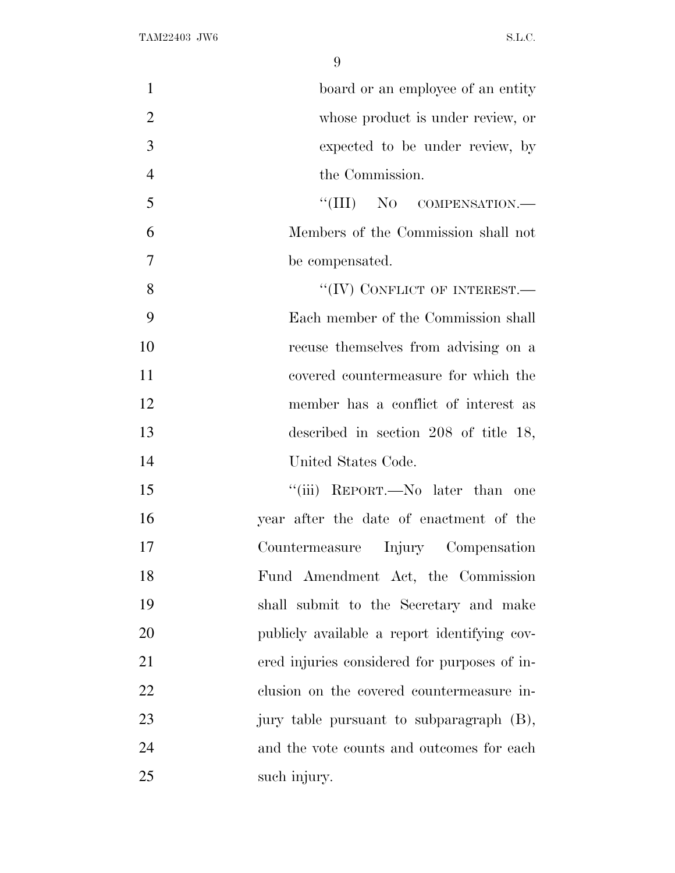| $\mathbf{1}$   | board or an employee of an entity            |
|----------------|----------------------------------------------|
| $\overline{2}$ | whose product is under review, or            |
| 3              | expected to be under review, by              |
| $\overline{4}$ | the Commission.                              |
| 5              | "(III) NO COMPENSATION.—                     |
| 6              | Members of the Commission shall not          |
| 7              | be compensated.                              |
| 8              | "(IV) CONFLICT OF INTEREST.-                 |
| 9              | Each member of the Commission shall          |
| 10             | recuse themselves from advising on a         |
| 11             | covered countermeasure for which the         |
| 12             | member has a conflict of interest as         |
| 13             | described in section $208$ of title 18,      |
| 14             | United States Code.                          |
| 15             | "(iii) REPORT.—No later than one             |
| 16             | year after the date of enactment of the      |
| 17             | Countermeasure Injury Compensation           |
| 18             | Fund Amendment Act, the Commission           |
| 19             | shall submit to the Secretary and make       |
| 20             | publicly available a report identifying cov- |
| 21             | ered injuries considered for purposes of in- |
| 22             | clusion on the covered countermeasure in-    |
| 23             | jury table pursuant to subparagraph (B),     |
| 24             | and the vote counts and outcomes for each    |
| 25             | such injury.                                 |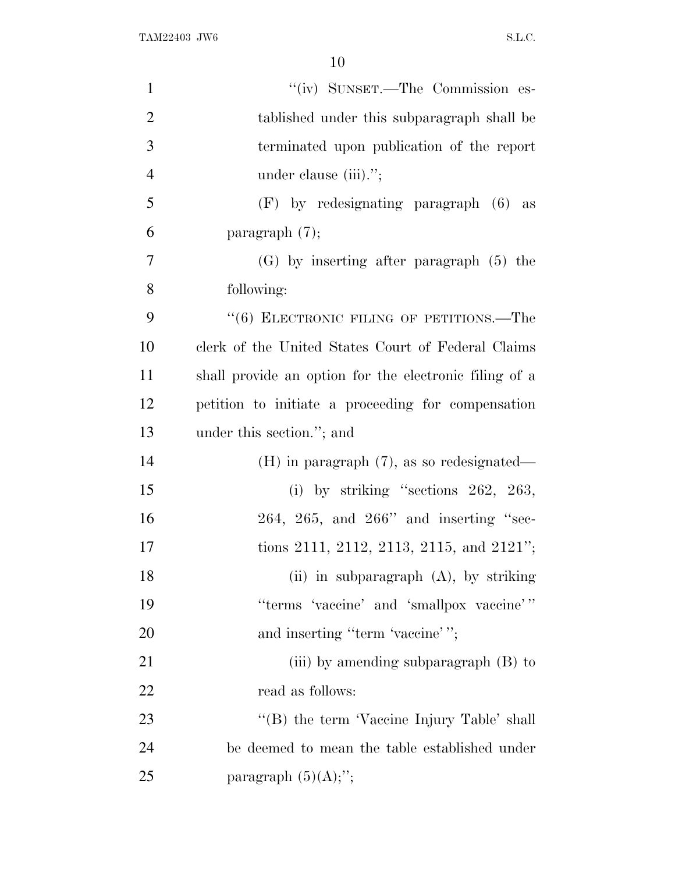TAM22403 JW6 S.L.C.

| $\mathbf{1}$   | "(iv) SUNSET.—The Commission es-                       |
|----------------|--------------------------------------------------------|
| $\overline{2}$ | tablished under this subparagraph shall be             |
| 3              | terminated upon publication of the report              |
| $\overline{4}$ | under clause (iii).";                                  |
| 5              | $(F)$ by redesignating paragraph $(6)$ as              |
| 6              | paragraph $(7)$ ;                                      |
| $\overline{7}$ | $(G)$ by inserting after paragraph $(5)$ the           |
| 8              | following:                                             |
| 9              | $``(6)$ ELECTRONIC FILING OF PETITIONS.—The            |
| 10             | clerk of the United States Court of Federal Claims     |
| 11             | shall provide an option for the electronic filing of a |
| 12             | petition to initiate a proceeding for compensation     |
| 13             | under this section."; and                              |
| 14             | $(H)$ in paragraph $(7)$ , as so redesignated—         |
| 15             | (i) by striking "sections $262, 263,$                  |
| 16             | $264, 265,$ and $266"$ and inserting "sec-             |
| 17             | tions 2111, 2112, 2113, 2115, and 2121";               |
| 18             | (ii) in subparagraph (A), by striking                  |
| 19             | "terms 'vaccine' and 'smallpox vaccine'"               |
| 20             | and inserting "term 'vaccine'";                        |
| 21             | (iii) by amending subparagraph (B) to                  |
| <u>22</u>      | read as follows:                                       |
| 23             | "(B) the term 'Vaccine Injury Table' shall             |
| 24             | be deemed to mean the table established under          |
| 25             | paragraph $(5)(A);$ ";                                 |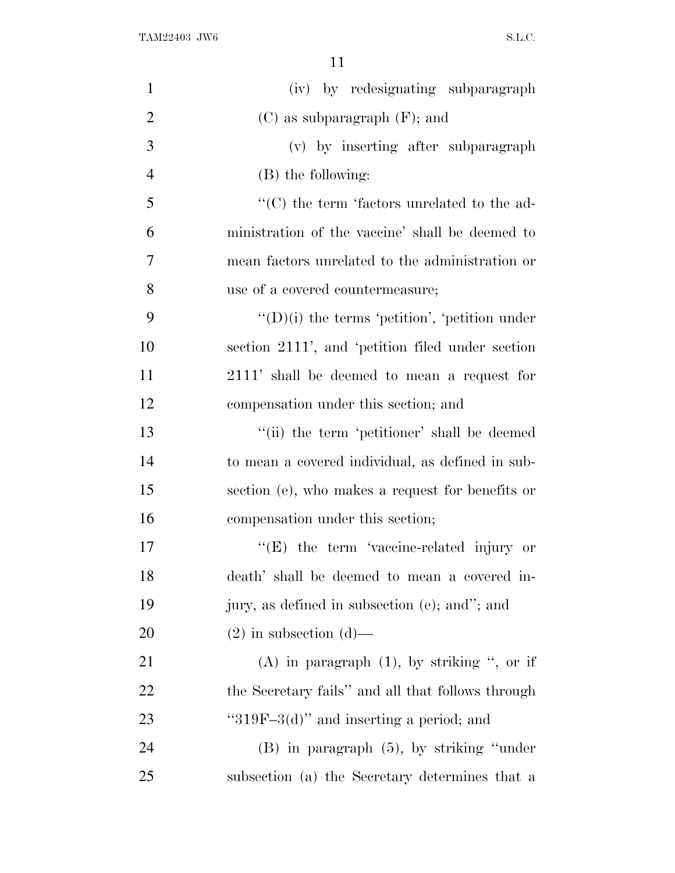TAM22403 JW6 S.L.C.

| $\mathbf{1}$   | (iv) by redesignating subparagraph                    |
|----------------|-------------------------------------------------------|
| $\overline{2}$ | $(C)$ as subparagraph $(F)$ ; and                     |
| 3              | (v) by inserting after subparagraph                   |
| $\overline{4}$ | (B) the following:                                    |
| 5              | $\cdot$ (C) the term 'factors unrelated to the ad-    |
| 6              | ministration of the vaccine' shall be deemed to       |
| 7              | mean factors unrelated to the administration or       |
| 8              | use of a covered countermeasure;                      |
| 9              | $\lq\lq$ (D)(i) the terms 'petition', 'petition under |
| 10             | section 2111', and 'petition filed under section      |
| 11             | 2111' shall be deemed to mean a request for           |
| 12             | compensation under this section; and                  |
| 13             | "(ii) the term 'petitioner' shall be deemed           |
| 14             | to mean a covered individual, as defined in sub-      |
| 15             | section (e), who makes a request for benefits or      |
| 16             | compensation under this section;                      |
| 17             | $\lq\lq(E)$ the term 'vaccine-related injury or       |
| 18             | death' shall be deemed to mean a covered in-          |
| 19             | jury, as defined in subsection (e); and"; and         |
| 20             | $(2)$ in subsection $(d)$ —                           |
| 21             | (A) in paragraph $(1)$ , by striking ", or if         |
| 22             | the Secretary fails" and all that follows through     |
| 23             | " $319F-3(d)$ " and inserting a period; and           |
| 24             | $(B)$ in paragraph $(5)$ , by striking "under"        |
| 25             | subsection (a) the Secretary determines that a        |